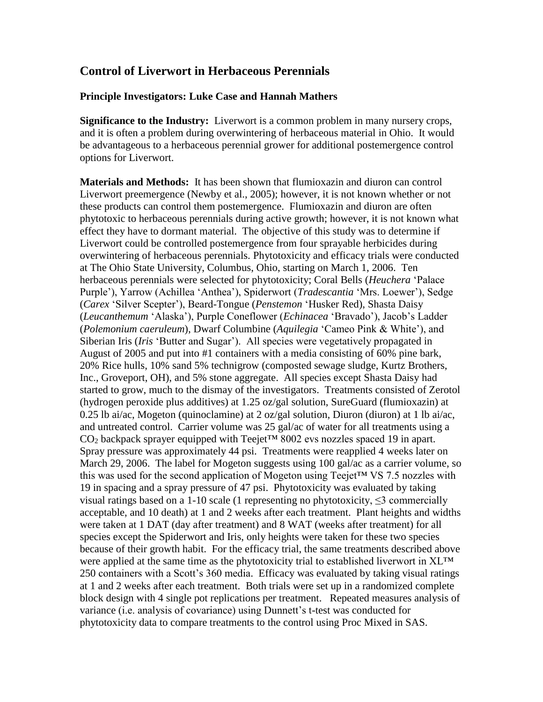# **Control of Liverwort in Herbaceous Perennials**

#### **Principle Investigators: Luke Case and Hannah Mathers**

**Significance to the Industry:** Liverwort is a common problem in many nursery crops, and it is often a problem during overwintering of herbaceous material in Ohio. It would be advantageous to a herbaceous perennial grower for additional postemergence control options for Liverwort.

**Materials and Methods:** It has been shown that flumioxazin and diuron can control Liverwort preemergence (Newby et al., 2005); however, it is not known whether or not these products can control them postemergence. Flumioxazin and diuron are often phytotoxic to herbaceous perennials during active growth; however, it is not known what effect they have to dormant material. The objective of this study was to determine if Liverwort could be controlled postemergence from four sprayable herbicides during overwintering of herbaceous perennials. Phytotoxicity and efficacy trials were conducted at The Ohio State University, Columbus, Ohio, starting on March 1, 2006. Ten herbaceous perennials were selected for phytotoxicity; Coral Bells (*Heuchera* 'Palace Purple'), Yarrow (Achillea 'Anthea'), Spiderwort (*Tradescantia* 'Mrs. Loewer'), Sedge (*Carex* 'Silver Scepter'), Beard-Tongue (*Penstemon* 'Husker Red), Shasta Daisy (*Leucanthemum* 'Alaska'), Purple Coneflower (*Echinacea* 'Bravado'), Jacob's Ladder (*Polemonium caeruleum*), Dwarf Columbine (*Aquilegia* 'Cameo Pink & White'), and Siberian Iris (*Iris* 'Butter and Sugar'). All species were vegetatively propagated in August of 2005 and put into #1 containers with a media consisting of 60% pine bark, 20% Rice hulls, 10% sand 5% technigrow (composted sewage sludge, Kurtz Brothers, Inc., Groveport, OH), and 5% stone aggregate. All species except Shasta Daisy had started to grow, much to the dismay of the investigators. Treatments consisted of Zerotol (hydrogen peroxide plus additives) at 1.25 oz/gal solution, SureGuard (flumioxazin) at 0.25 lb ai/ac, Mogeton (quinoclamine) at 2 oz/gal solution, Diuron (diuron) at 1 lb ai/ac, and untreated control. Carrier volume was 25 gal/ac of water for all treatments using a  $CO<sub>2</sub>$  backpack sprayer equipped with Teejet<sup>TM</sup> 8002 evs nozzles spaced 19 in apart. Spray pressure was approximately 44 psi. Treatments were reapplied 4 weeks later on March 29, 2006. The label for Mogeton suggests using 100 gal/ac as a carrier volume, so this was used for the second application of Mogeton using Teejet™ VS 7.5 nozzles with 19 in spacing and a spray pressure of 47 psi. Phytotoxicity was evaluated by taking visual ratings based on a 1-10 scale (1 representing no phytotoxicity,  $\leq$ 3 commercially acceptable, and 10 death) at 1 and 2 weeks after each treatment. Plant heights and widths were taken at 1 DAT (day after treatment) and 8 WAT (weeks after treatment) for all species except the Spiderwort and Iris, only heights were taken for these two species because of their growth habit. For the efficacy trial, the same treatments described above were applied at the same time as the phytotoxicity trial to established liverwort in XL™ 250 containers with a Scott's 360 media. Efficacy was evaluated by taking visual ratings at 1 and 2 weeks after each treatment. Both trials were set up in a randomized complete block design with 4 single pot replications per treatment. Repeated measures analysis of variance (i.e. analysis of covariance) using Dunnett's t-test was conducted for phytotoxicity data to compare treatments to the control using Proc Mixed in SAS.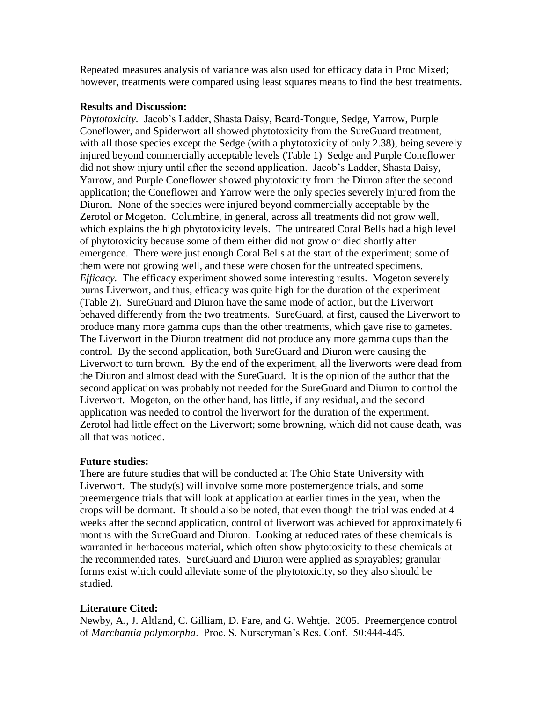Repeated measures analysis of variance was also used for efficacy data in Proc Mixed; however, treatments were compared using least squares means to find the best treatments.

#### **Results and Discussion:**

*Phytotoxicity.* Jacob's Ladder, Shasta Daisy, Beard-Tongue, Sedge, Yarrow, Purple Coneflower, and Spiderwort all showed phytotoxicity from the SureGuard treatment, with all those species except the Sedge (with a phytotoxicity of only 2.38), being severely injured beyond commercially acceptable levels (Table 1) Sedge and Purple Coneflower did not show injury until after the second application. Jacob's Ladder, Shasta Daisy, Yarrow, and Purple Coneflower showed phytotoxicity from the Diuron after the second application; the Coneflower and Yarrow were the only species severely injured from the Diuron. None of the species were injured beyond commercially acceptable by the Zerotol or Mogeton. Columbine, in general, across all treatments did not grow well, which explains the high phytotoxicity levels. The untreated Coral Bells had a high level of phytotoxicity because some of them either did not grow or died shortly after emergence. There were just enough Coral Bells at the start of the experiment; some of them were not growing well, and these were chosen for the untreated specimens. *Efficacy.* The efficacy experiment showed some interesting results. Mogeton severely burns Liverwort, and thus, efficacy was quite high for the duration of the experiment (Table 2). SureGuard and Diuron have the same mode of action, but the Liverwort behaved differently from the two treatments. SureGuard, at first, caused the Liverwort to produce many more gamma cups than the other treatments, which gave rise to gametes. The Liverwort in the Diuron treatment did not produce any more gamma cups than the control. By the second application, both SureGuard and Diuron were causing the Liverwort to turn brown. By the end of the experiment, all the liverworts were dead from the Diuron and almost dead with the SureGuard. It is the opinion of the author that the second application was probably not needed for the SureGuard and Diuron to control the Liverwort. Mogeton, on the other hand, has little, if any residual, and the second application was needed to control the liverwort for the duration of the experiment. Zerotol had little effect on the Liverwort; some browning, which did not cause death, was all that was noticed.

### **Future studies:**

There are future studies that will be conducted at The Ohio State University with Liverwort. The study(s) will involve some more postemergence trials, and some preemergence trials that will look at application at earlier times in the year, when the crops will be dormant. It should also be noted, that even though the trial was ended at 4 weeks after the second application, control of liverwort was achieved for approximately 6 months with the SureGuard and Diuron. Looking at reduced rates of these chemicals is warranted in herbaceous material, which often show phytotoxicity to these chemicals at the recommended rates. SureGuard and Diuron were applied as sprayables; granular forms exist which could alleviate some of the phytotoxicity, so they also should be studied.

## **Literature Cited:**

Newby, A., J. Altland, C. Gilliam, D. Fare, and G. Wehtje. 2005. Preemergence control of *Marchantia polymorpha*. Proc. S. Nurseryman's Res. Conf. 50:444-445.